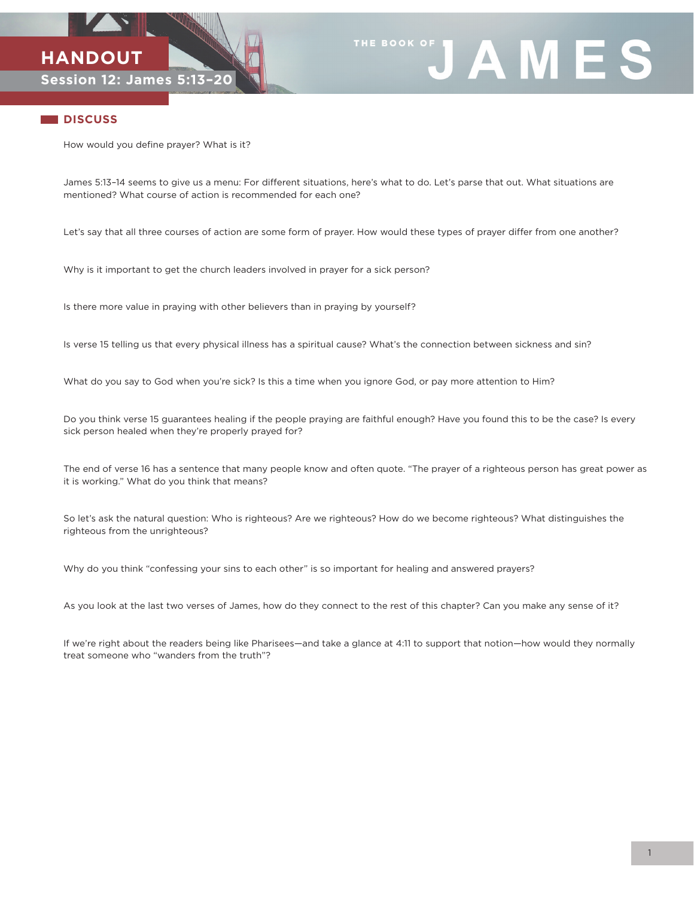



## **DISCUSS**

How would you define prayer? What is it?

James 5:13–14 seems to give us a menu: For different situations, here's what to do. Let's parse that out. What situations are mentioned? What course of action is recommended for each one?

Let's say that all three courses of action are some form of prayer. How would these types of prayer differ from one another?

Why is it important to get the church leaders involved in prayer for a sick person?

Is there more value in praying with other believers than in praying by yourself?

Is verse 15 telling us that every physical illness has a spiritual cause? What's the connection between sickness and sin?

What do you say to God when you're sick? Is this a time when you ignore God, or pay more attention to Him?

Do you think verse 15 guarantees healing if the people praying are faithful enough? Have you found this to be the case? Is every sick person healed when they're properly prayed for?

The end of verse 16 has a sentence that many people know and often quote. "The prayer of a righteous person has great power as it is working." What do you think that means?

So let's ask the natural question: Who is righteous? Are we righteous? How do we become righteous? What distinguishes the righteous from the unrighteous?

Why do you think "confessing your sins to each other" is so important for healing and answered prayers?

As you look at the last two verses of James, how do they connect to the rest of this chapter? Can you make any sense of it?

If we're right about the readers being like Pharisees—and take a glance at 4:11 to support that notion—how would they normally treat someone who "wanders from the truth"?